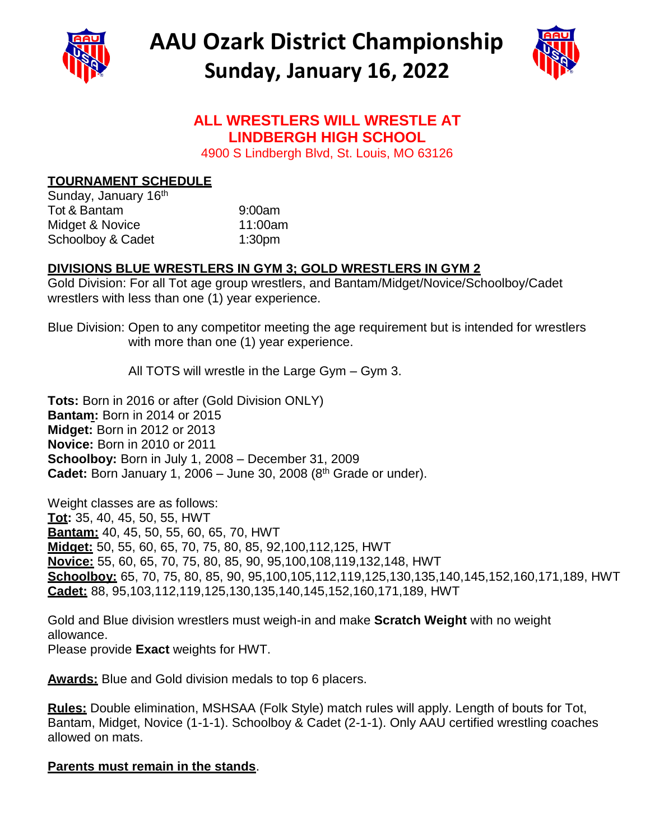

# **AAU Ozark District Championship Sunday, January 16, 2022**



### **ALL WRESTLERS WILL WRESTLE AT LINDBERGH HIGH SCHOOL**

4900 S Lindbergh Blvd, St. Louis, MO 63126

#### **TOURNAMENT SCHEDULE**

| Sunday, January 16th |                    |
|----------------------|--------------------|
| Tot & Bantam         | 9:00am             |
| Midget & Novice      | 11:00am            |
| Schoolboy & Cadet    | 1:30 <sub>pm</sub> |

#### **DIVISIONS BLUE WRESTLERS IN GYM 3; GOLD WRESTLERS IN GYM 2**

Gold Division: For all Tot age group wrestlers, and Bantam/Midget/Novice/Schoolboy/Cadet wrestlers with less than one (1) year experience.

Blue Division: Open to any competitor meeting the age requirement but is intended for wrestlers with more than one (1) year experience.

All TOTS will wrestle in the Large Gym – Gym 3.

**Tots:** Born in 2016 or after (Gold Division ONLY) **Bantam:** Born in 2014 or 2015 **Midget:** Born in 2012 or 2013 **Novice:** Born in 2010 or 2011 **Schoolboy:** Born in July 1, 2008 – December 31, 2009 **Cadet:** Born January 1, 2006 – June 30, 2008 (8<sup>th</sup> Grade or under).

Weight classes are as follows: **Tot:** 35, 40, 45, 50, 55, HWT **Bantam:** 40, 45, 50, 55, 60, 65, 70, HWT **Midget:** 50, 55, 60, 65, 70, 75, 80, 85, 92,100,112,125, HWT **Novice:** 55, 60, 65, 70, 75, 80, 85, 90, 95,100,108,119,132,148, HWT **Schoolboy:** 65, 70, 75, 80, 85, 90, 95,100,105,112,119,125,130,135,140,145,152,160,171,189, HWT **Cadet:** 88, 95,103,112,119,125,130,135,140,145,152,160,171,189, HWT

Gold and Blue division wrestlers must weigh-in and make **Scratch Weight** with no weight allowance. Please provide **Exact** weights for HWT.

**Awards:** Blue and Gold division medals to top 6 placers.

**Rules:** Double elimination, MSHSAA (Folk Style) match rules will apply. Length of bouts for Tot, Bantam, Midget, Novice (1-1-1). Schoolboy & Cadet (2-1-1). Only AAU certified wrestling coaches allowed on mats.

#### **Parents must remain in the stands**.